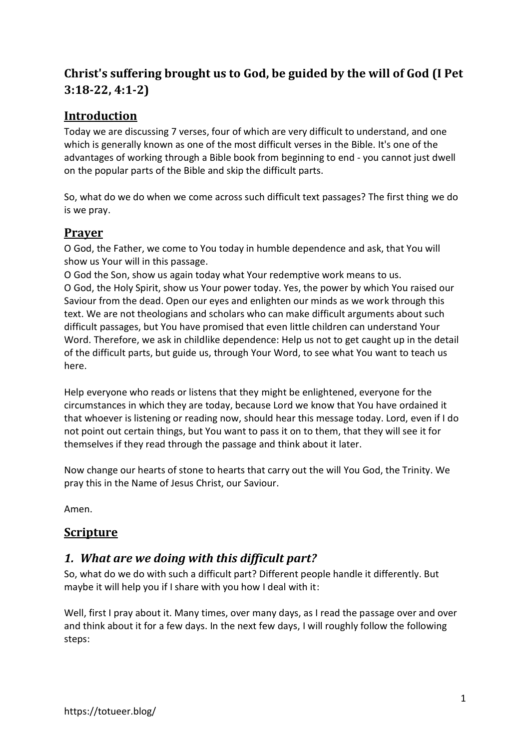# **Christ's suffering brought us to God, be guided by the will of God (I Pet 3:18-22, 4:1-2)**

## **Introduction**

Today we are discussing 7 verses, four of which are very difficult to understand, and one which is generally known as one of the most difficult verses in the Bible. It's one of the advantages of working through a Bible book from beginning to end - you cannot just dwell on the popular parts of the Bible and skip the difficult parts.

So, what do we do when we come across such difficult text passages? The first thing we do is we pray.

## **Prayer**

O God, the Father, we come to You today in humble dependence and ask, that You will show us Your will in this passage.

O God the Son, show us again today what Your redemptive work means to us. O God, the Holy Spirit, show us Your power today. Yes, the power by which You raised our Saviour from the dead. Open our eyes and enlighten our minds as we work through this text. We are not theologians and scholars who can make difficult arguments about such difficult passages, but You have promised that even little children can understand Your Word. Therefore, we ask in childlike dependence: Help us not to get caught up in the detail of the difficult parts, but guide us, through Your Word, to see what You want to teach us here.

Help everyone who reads or listens that they might be enlightened, everyone for the circumstances in which they are today, because Lord we know that You have ordained it that whoever is listening or reading now, should hear this message today. Lord, even if I do not point out certain things, but You want to pass it on to them, that they will see it for themselves if they read through the passage and think about it later.

Now change our hearts of stone to hearts that carry out the will You God, the Trinity. We pray this in the Name of Jesus Christ, our Saviour.

Amen.

## **Scripture**

## *1. What are we doing with this difficult part?*

So, what do we do with such a difficult part? Different people handle it differently. But maybe it will help you if I share with you how I deal with it:

Well, first I pray about it. Many times, over many days, as I read the passage over and over and think about it for a few days. In the next few days, I will roughly follow the following steps: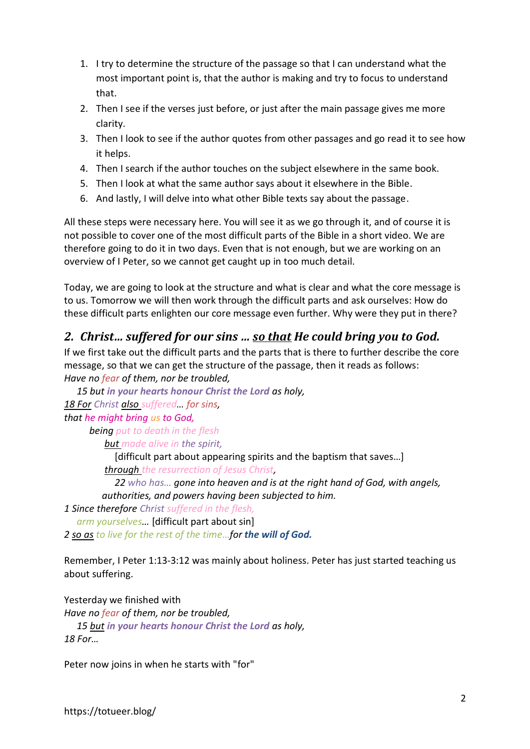- 1. I try to determine the structure of the passage so that I can understand what the most important point is, that the author is making and try to focus to understand that.
- 2. Then I see if the verses just before, or just after the main passage gives me more clarity.
- 3. Then I look to see if the author quotes from other passages and go read it to see how it helps.
- 4. Then I search if the author touches on the subject elsewhere in the same book.
- 5. Then I look at what the same author says about it elsewhere in the Bible.
- 6. And lastly, I will delve into what other Bible texts say about the passage.

All these steps were necessary here. You will see it as we go through it, and of course it is not possible to cover one of the most difficult parts of the Bible in a short video. We are therefore going to do it in two days. Even that is not enough, but we are working on an overview of I Peter, so we cannot get caught up in too much detail.

Today, we are going to look at the structure and what is clear and what the core message is to us. Tomorrow we will then work through the difficult parts and ask ourselves: How do these difficult parts enlighten our core message even further. Why were they put in there?

## *2. Christ… suffered for our sins … so that He could bring you to God.*

If we first take out the difficult parts and the parts that is there to further describe the core message, so that we can get the structure of the passage, then it reads as follows: *Have no fear of them, nor be troubled,* 

*15 but in your hearts honour Christ the Lord as holy, 18 For Christ also suffered… for sins, that he might bring us to God,*

*being put to death in the flesh but made alive in the spirit,* 

[difficult part about appearing spirits and the baptism that saves…]

*through the resurrection of Jesus Christ,* 

*22 who has… gone into heaven and is at the right hand of God, with angels, authorities, and powers having been subjected to him.*

*1 Since therefore Christ suffered in the flesh,* 

*arm yourselves…* [difficult part about sin]

*2 so as to live for the rest of the time…for the will of God.*

Remember, I Peter 1:13-3:12 was mainly about holiness. Peter has just started teaching us about suffering.

Yesterday we finished with *Have no fear of them, nor be troubled, 15 but in your hearts honour Christ the Lord as holy, 18 For…*

Peter now joins in when he starts with "for"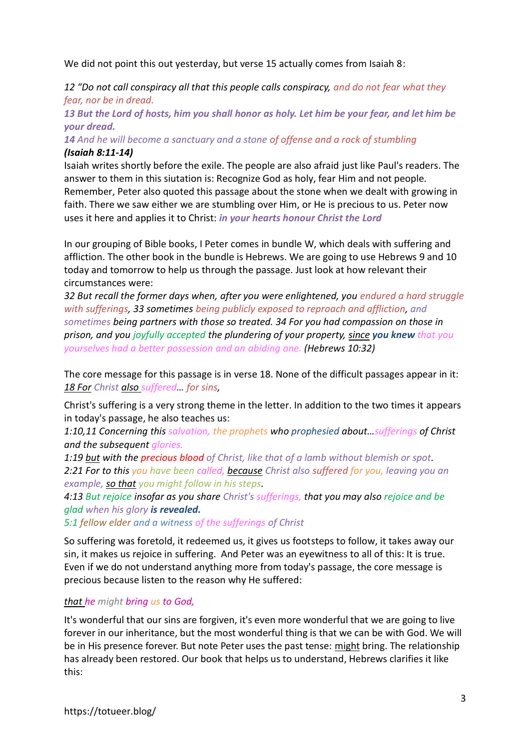We did not point this out yesterday, but verse 15 actually comes from Isaiah 8:

*12 "Do not call conspiracy all that this people calls conspiracy, and do not fear what they fear, nor be in dread.* 

*13 But the Lord of hosts, him you shall honor as holy. Let him be your fear, and let him be your dread.*

*14 And he will become a sanctuary and a stone of offense and a rock of stumbling (Isaiah 8:11-14)*

Isaiah writes shortly before the exile. The people are also afraid just like Paul's readers. The answer to them in this siutation is: Recognize God as holy, fear Him and not people. Remember, Peter also quoted this passage about the stone when we dealt with growing in faith. There we saw either we are stumbling over Him, or He is precious to us. Peter now uses it here and applies it to Christ: *in your hearts honour Christ the Lord*

In our grouping of Bible books, I Peter comes in bundle W, which deals with suffering and affliction. The other book in the bundle is Hebrews. We are going to use Hebrews 9 and 10 today and tomorrow to help us through the passage. Just look at how relevant their circumstances were:

*32 But recall the former days when, after you were enlightened, you endured a hard struggle with sufferings, 33 sometimes being publicly exposed to reproach and affliction, and sometimes being partners with those so treated. 34 For you had compassion on those in prison, and you joyfully accepted the plundering of your property, since you knew that you yourselves had a better possession and an abiding one. (Hebrews 10:32)*

The core message for this passage is in verse 18. None of the difficult passages appear in it: *18 For Christ also suffered… for sins,* 

Christ's suffering is a very strong theme in the letter. In addition to the two times it appears in today's passage, he also teaches us:

*1:10,11 Concerning this salvation, the prophets who prophesied about…sufferings of Christ and the subsequent glories.*

*1:19 but with the precious blood of Christ, like that of a lamb without blemish or spot. 2:21 For to this you have been called, because Christ also suffered for you, leaving you an example, so that you might follow in his steps.* 

*4:13 But rejoice insofar as you share Christ's sufferings, that you may also rejoice and be glad when his glory is revealed.*

*5:1 fellow elder and a witness of the sufferings of Christ*

So suffering was foretold, it redeemed us, it gives us footsteps to follow, it takes away our sin, it makes us rejoice in suffering. And Peter was an eyewitness to all of this: It is true. Even if we do not understand anything more from today's passage, the core message is precious because listen to the reason why He suffered:

#### *that he might bring us to God,*

It's wonderful that our sins are forgiven, it's even more wonderful that we are going to live forever in our inheritance, but the most wonderful thing is that we can be with God. We will be in His presence forever. But note Peter uses the past tense: might bring. The relationship has already been restored. Our book that helps us to understand, Hebrews clarifies it like this: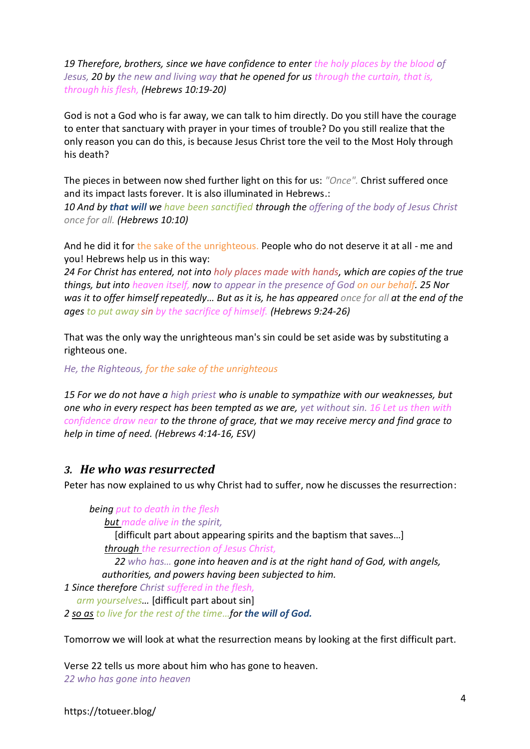*19 Therefore, brothers, since we have confidence to enter the holy places by the blood of Jesus, 20 by the new and living way that he opened for us through the curtain, that is, through his flesh, (Hebrews 10:19-20)*

God is not a God who is far away, we can talk to him directly. Do you still have the courage to enter that sanctuary with prayer in your times of trouble? Do you still realize that the only reason you can do this, is because Jesus Christ tore the veil to the Most Holy through his death?

The pieces in between now shed further light on this for us: *"Once".* Christ suffered once and its impact lasts forever. It is also illuminated in Hebrews.:

*10 And by that will we have been sanctified through the offering of the body of Jesus Christ once for all. (Hebrews 10:10)*

And he did it for the sake of the unrighteous. People who do not deserve it at all - me and you! Hebrews help us in this way:

*24 For Christ has entered, not into holy places made with hands, which are copies of the true things, but into heaven itself, now to appear in the presence of God on our behalf. 25 Nor was it to offer himself repeatedly… But as it is, he has appeared once for all at the end of the ages to put away sin by the sacrifice of himself. (Hebrews 9:24-26)*

That was the only way the unrighteous man's sin could be set aside was by substituting a righteous one.

*He, the Righteous, for the sake of the unrighteous*

*15 For we do not have a high priest who is unable to sympathize with our weaknesses, but one who in every respect has been tempted as we are, yet without sin. 16 Let us then with confidence draw near to the throne of grace, that we may receive mercy and find grace to help in time of need. (Hebrews 4:14-16, ESV)*

#### *3. He who was resurrected*

Peter has now explained to us why Christ had to suffer, now he discusses the resurrection:

*being put to death in the flesh*

*but made alive in the spirit,* 

[difficult part about appearing spirits and the baptism that saves…] *through the resurrection of Jesus Christ,* 

*22 who has… gone into heaven and is at the right hand of God, with angels, authorities, and powers having been subjected to him.*

*1 Since therefore Christ suffered in the flesh,* 

*arm yourselves…* [difficult part about sin]

*2 so as to live for the rest of the time…for the will of God.*

Tomorrow we will look at what the resurrection means by looking at the first difficult part.

Verse 22 tells us more about him who has gone to heaven. *22 who has gone into heaven*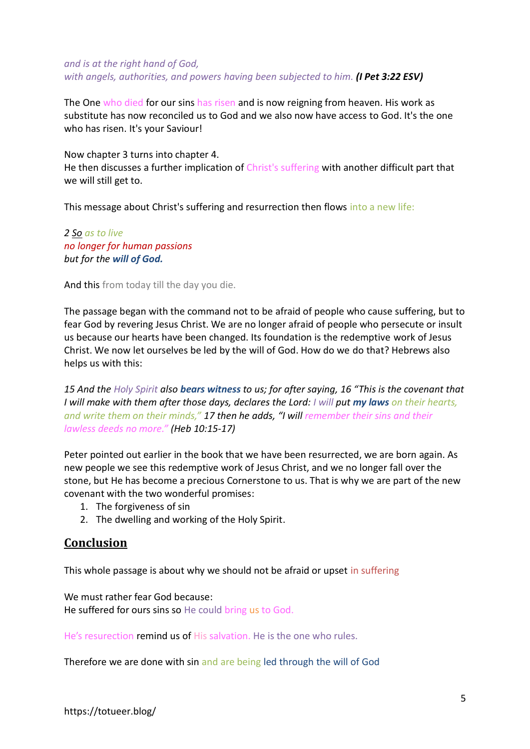#### *and is at the right hand of God, with angels, authorities, and powers having been subjected to him. (I Pet 3:22 ESV)*

The One who died for our sins has risen and is now reigning from heaven. His work as substitute has now reconciled us to God and we also now have access to God. It's the one who has risen. It's your Saviour!

Now chapter 3 turns into chapter 4.

He then discusses a further implication of Christ's suffering with another difficult part that we will still get to.

This message about Christ's suffering and resurrection then flows into a new life:

*2 So as to live no longer for human passions but for the will of God.*

And this from today till the day you die.

The passage began with the command not to be afraid of people who cause suffering, but to fear God by revering Jesus Christ. We are no longer afraid of people who persecute or insult us because our hearts have been changed. Its foundation is the redemptive work of Jesus Christ. We now let ourselves be led by the will of God. How do we do that? Hebrews also helps us with this:

*15 And the Holy Spirit also bears witness to us; for after saying, 16 "This is the covenant that I will make with them after those days, declares the Lord: I will put my laws on their hearts, and write them on their minds," 17 then he adds, "I will remember their sins and their lawless deeds no more." (Heb 10:15-17)*

Peter pointed out earlier in the book that we have been resurrected, we are born again. As new people we see this redemptive work of Jesus Christ, and we no longer fall over the stone, but He has become a precious Cornerstone to us. That is why we are part of the new covenant with the two wonderful promises:

- 1. The forgiveness of sin
- 2. The dwelling and working of the Holy Spirit.

### **Conclusion**

This whole passage is about why we should not be afraid or upset in suffering

We must rather fear God because: He suffered for ours sins so He could bring us to God.

He's resurection remind us of His salvation. He is the one who rules.

Therefore we are done with sin and are being led through the will of God